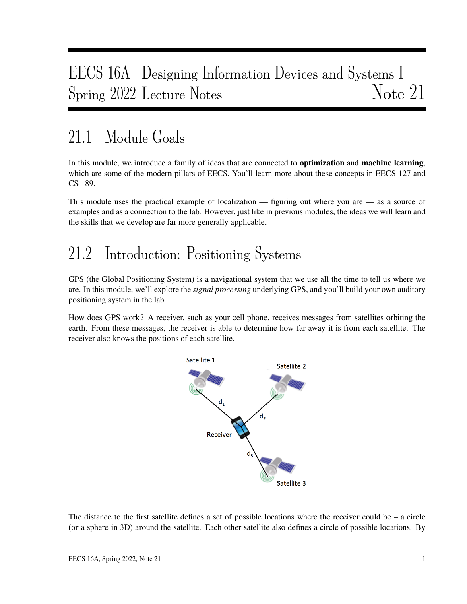## EECS 16A Designing Information Devices and Systems I Spring 2022 Lecture Notes Note 21

## 21.1 Module Goals

In this module, we introduce a family of ideas that are connected to **optimization** and **machine learning**, which are some of the modern pillars of EECS. You'll learn more about these concepts in EECS 127 and CS 189.

This module uses the practical example of localization — figuring out where you are — as a source of examples and as a connection to the lab. However, just like in previous modules, the ideas we will learn and the skills that we develop are far more generally applicable.

## 21.2 Introduction: Positioning Systems

GPS (the Global Positioning System) is a navigational system that we use all the time to tell us where we are. In this module, we'll explore the *signal processing* underlying GPS, and you'll build your own auditory positioning system in the lab.

How does GPS work? A receiver, such as your cell phone, receives messages from satellites orbiting the earth. From these messages, the receiver is able to determine how far away it is from each satellite. The receiver also knows the positions of each satellite.



The distance to the first satellite defines a set of possible locations where the receiver could be – a circle (or a sphere in 3D) around the satellite. Each other satellite also defines a circle of possible locations. By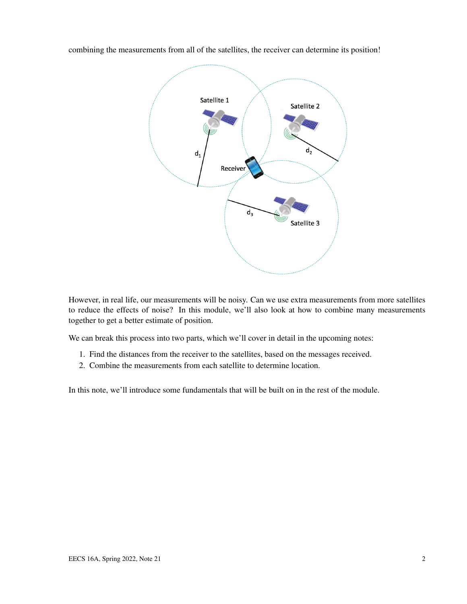combining the measurements from all of the satellites, the receiver can determine its position!



However, in real life, our measurements will be noisy. Can we use extra measurements from more satellites to reduce the effects of noise? In this module, we'll also look at how to combine many measurements together to get a better estimate of position.

We can break this process into two parts, which we'll cover in detail in the upcoming notes:

- 1. Find the distances from the receiver to the satellites, based on the messages received.
- 2. Combine the measurements from each satellite to determine location.

In this note, we'll introduce some fundamentals that will be built on in the rest of the module.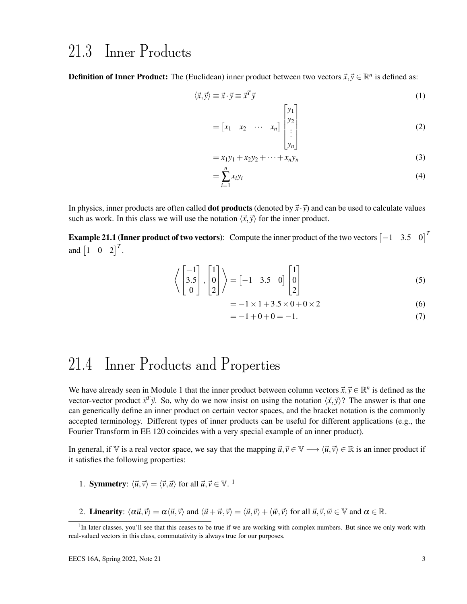#### 21.3 Inner Products

**Definition of Inner Product:** The (Euclidean) inner product between two vectors  $\vec{x}, \vec{y} \in \mathbb{R}^n$  is defined as:

$$
\langle \vec{x}, \vec{y} \rangle \equiv \vec{x} \cdot \vec{y} \equiv \vec{x}^T \vec{y} \tag{1}
$$

$$
= \begin{bmatrix} x_1 & x_2 & \cdots & x_n \end{bmatrix} \begin{bmatrix} y_1 \\ y_2 \\ \vdots \\ y_n \end{bmatrix}
$$
 (2)

$$
= x_1 y_1 + x_2 y_2 + \dots + x_n y_n \tag{3}
$$

$$
=\sum_{i=1}^{n}x_{i}y_{i}\tag{4}
$$

In physics, inner products are often called **dot products** (denoted by  $\vec{x} \cdot \vec{y}$ ) and can be used to calculate values such as work. In this class we will use the notation  $\langle \vec{x}, \vec{y} \rangle$  for the inner product.

**Example 21.1 (Inner product of two vectors):** Compute the inner product of the two vectors  $\begin{bmatrix} -1 & 3.5 & 0 \end{bmatrix}^T$ and  $\begin{bmatrix} 1 & 0 & 2 \end{bmatrix}^T$ .

$$
\left\langle \begin{bmatrix} -1 \\ 3.5 \\ 0 \end{bmatrix}, \begin{bmatrix} 1 \\ 0 \\ 2 \end{bmatrix} \right\rangle = \begin{bmatrix} -1 & 3.5 & 0 \end{bmatrix} \begin{bmatrix} 1 \\ 0 \\ 2 \end{bmatrix}
$$
 (5)

$$
= -1 \times 1 + 3.5 \times 0 + 0 \times 2 \tag{6}
$$

$$
= -1 + 0 + 0 = -1.
$$
 (7)

#### 21.4 Inner Products and Properties

We have already seen in Module 1 that the inner product between column vectors  $\vec{x}, \vec{y} \in \mathbb{R}^n$  is defined as the vector-vector product  $\vec{x}^T \vec{y}$ . So, why do we now insist on using the notation  $\langle \vec{x}, \vec{y} \rangle$ ? The answer is that one can generically define an inner product on certain vector spaces, and the bracket notation is the commonly accepted terminology. Different types of inner products can be useful for different applications (e.g., the Fourier Transform in EE 120 coincides with a very special example of an inner product).

In general, if V is a real vector space, we say that the mapping  $\vec{u}, \vec{v} \in V \longrightarrow \langle \vec{u}, \vec{v} \rangle \in \mathbb{R}$  is an inner product if it satisfies the following properties:

- 1. **Symmetry**:  $\langle \vec{u}, \vec{v} \rangle = \langle \vec{v}, \vec{u} \rangle$  for all  $\vec{u}, \vec{v} \in \mathbb{V}$ . <sup>1</sup>
- 2. Linearity:  $\langle \alpha \vec{u}, \vec{v} \rangle = \alpha \langle \vec{u}, \vec{v} \rangle$  and  $\langle \vec{u} + \vec{w}, \vec{v} \rangle = \langle \vec{u}, \vec{v} \rangle + \langle \vec{w}, \vec{v} \rangle$  for all  $\vec{u}, \vec{v}, \vec{w} \in \mathbb{V}$  and  $\alpha \in \mathbb{R}$ .

<sup>&</sup>lt;sup>1</sup>In later classes, you'll see that this ceases to be true if we are working with complex numbers. But since we only work with real-valued vectors in this class, commutativity is always true for our purposes.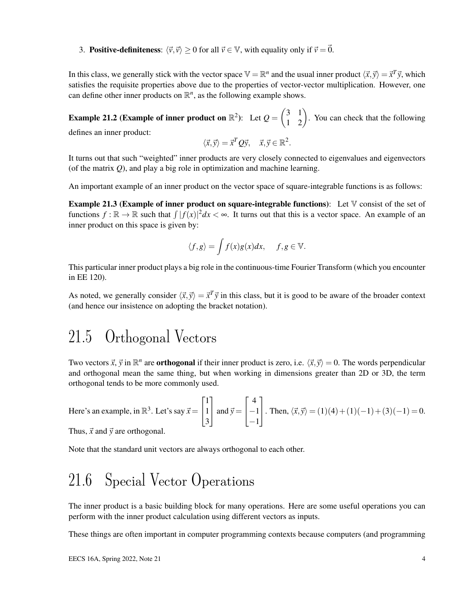3. **Positive-definiteness:**  $\langle \vec{v}, \vec{v} \rangle \ge 0$  for all  $\vec{v} \in V$ , with equality only if  $\vec{v} = \vec{0}$ .

In this class, we generally stick with the vector space  $\mathbb{V} = \mathbb{R}^n$  and the usual inner product  $\langle \vec{x}, \vec{y} \rangle = \vec{x}^T \vec{y}$ , which satisfies the requisite properties above due to the properties of vector-vector multiplication. However, one can define other inner products on  $\mathbb{R}^n$ , as the following example shows.

**Example 21.2 (Example of inner product on**  $\mathbb{R}^2$ ): Let  $Q = \begin{pmatrix} 3 & 1 \\ 1 & 2 \end{pmatrix}$ . You can check that the following defines an inner product:

$$
\langle \vec{x}, \vec{y} \rangle = \vec{x}^T Q \vec{y}, \quad \vec{x}, \vec{y} \in \mathbb{R}^2.
$$

It turns out that such "weighted" inner products are very closely connected to eigenvalues and eigenvectors (of the matrix *Q*), and play a big role in optimization and machine learning.

An important example of an inner product on the vector space of square-integrable functions is as follows:

**Example 21.3 (Example of inner product on square-integrable functions):** Let  $\mathbb{V}$  consist of the set of functions  $f : \mathbb{R} \to \mathbb{R}$  such that  $\int |f(x)|^2 dx < \infty$ . It turns out that this is a vector space. An example of an inner product on this space is given by:

$$
\langle f, g \rangle = \int f(x)g(x)dx, \quad f, g \in \mathbb{V}.
$$

This particular inner product plays a big role in the continuous-time Fourier Transform (which you encounter in EE 120).

As noted, we generally consider  $\langle \vec{x}, \vec{y} \rangle = \vec{x}^T \vec{y}$  in this class, but it is good to be aware of the broader context (and hence our insistence on adopting the bracket notation).

#### 21.5 Orthogonal Vectors

Two vectors  $\vec{x}$ ,  $\vec{y}$  in  $\mathbb{R}^n$  are **orthogonal** if their inner product is zero, i.e.  $\langle \vec{x}, \vec{y} \rangle = 0$ . The words perpendicular and orthogonal mean the same thing, but when working in dimensions greater than 2D or 3D, the term orthogonal tends to be more commonly used.

Here's an example, in 
$$
\mathbb{R}^3
$$
. Let's say  $\vec{x} = \begin{bmatrix} 1 \\ 1 \\ 3 \end{bmatrix}$  and  $\vec{y} = \begin{bmatrix} 4 \\ -1 \\ -1 \end{bmatrix}$ . Then,  $\langle \vec{x}, \vec{y} \rangle = (1)(4) + (1)(-1) + (3)(-1) = 0$ .

Thus,  $\vec{x}$  and  $\vec{y}$  are orthogonal.

Note that the standard unit vectors are always orthogonal to each other.

### 21.6 Special Vector Operations

The inner product is a basic building block for many operations. Here are some useful operations you can perform with the inner product calculation using different vectors as inputs.

These things are often important in computer programming contexts because computers (and programming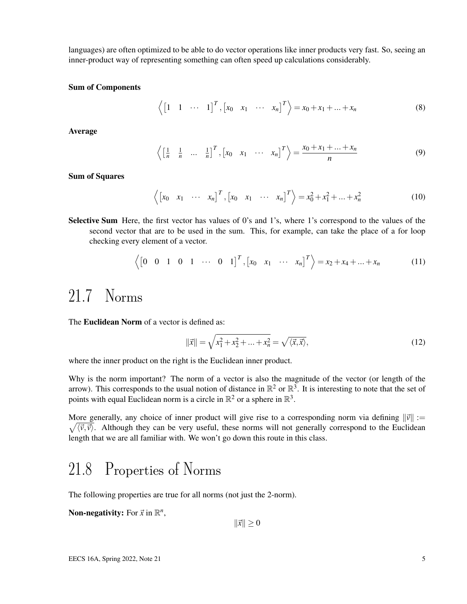languages) are often optimized to be able to do vector operations like inner products very fast. So, seeing an inner-product way of representing something can often speed up calculations considerably.

#### Sum of Components

 $\left\langle \begin{bmatrix} 1 & 1 & \cdots & 1 \end{bmatrix}^T, \begin{bmatrix} x_0 & x_1 & \cdots & x_n \end{bmatrix}^T \right\rangle = x_0 + x_1 + \dots + x_n$  (8)

Average

$$
\left\langle \begin{bmatrix} \frac{1}{n} & \frac{1}{n} & \dots & \frac{1}{n} \end{bmatrix}^T, \begin{bmatrix} x_0 & x_1 & \dots & x_n \end{bmatrix}^T \right\rangle = \frac{x_0 + x_1 + \dots + x_n}{n} \tag{9}
$$

Sum of Squares

$$
\langle \begin{bmatrix} x_0 & x_1 & \cdots & x_n \end{bmatrix}^T, \begin{bmatrix} x_0 & x_1 & \cdots & x_n \end{bmatrix}^T \rangle = x_0^2 + x_1^2 + \cdots + x_n^2
$$
 (10)

Selective Sum Here, the first vector has values of 0's and 1's, where 1's correspond to the values of the second vector that are to be used in the sum. This, for example, can take the place of a for loop checking every element of a vector.

$$
\left\langle \begin{bmatrix} 0 & 0 & 1 & 0 & 1 & \cdots & 0 & 1 \end{bmatrix}^T, \begin{bmatrix} x_0 & x_1 & \cdots & x_n \end{bmatrix}^T \right\rangle = x_2 + x_4 + \dots + x_n \tag{11}
$$

#### 21.7 Norms

The **Euclidean Norm** of a vector is defined as:

$$
\|\vec{x}\| = \sqrt{x_1^2 + x_2^2 + \dots + x_n^2} = \sqrt{\langle \vec{x}, \vec{x} \rangle},
$$
\n(12)

where the inner product on the right is the Euclidean inner product.

Why is the norm important? The norm of a vector is also the magnitude of the vector (or length of the arrow). This corresponds to the usual notion of distance in  $\mathbb{R}^2$  or  $\mathbb{R}^3$ . It is interesting to note that the set of points with equal Euclidean norm is a circle in  $\mathbb{R}^2$  or a sphere in  $\mathbb{R}^3$ .

More generally, any choice of inner product will give rise to a corresponding norm via defining  $\|\vec{v}\| :=$  $\sqrt{\langle \vec{v}, \vec{v} \rangle}$ . Although they can be very useful, these norms will not generally correspond to the Euclidean length that we are all familiar with. We won't go down this route in this class.

### 21.8 Properties of Norms

The following properties are true for all norms (not just the 2-norm).

**Non-negativity:** For  $\vec{x}$  in  $\mathbb{R}^n$ ,

 $\|\vec{x}\| \ge 0$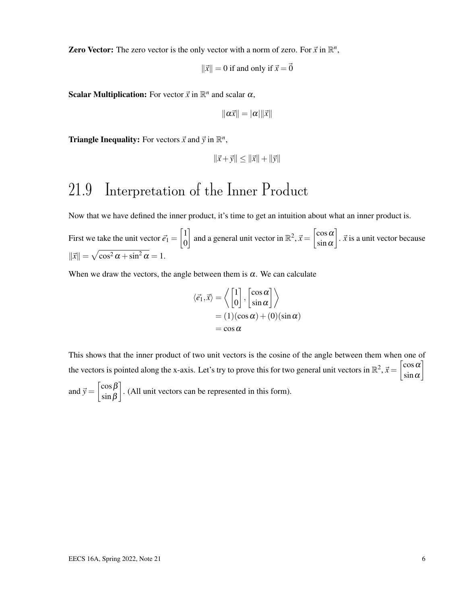**Zero Vector:** The zero vector is the only vector with a norm of zero. For  $\vec{x}$  in  $\mathbb{R}^n$ ,

$$
\|\vec{x}\| = 0
$$
 if and only if  $\vec{x} = \vec{0}$ 

**Scalar Multiplication:** For vector  $\vec{x}$  in  $\mathbb{R}^n$  and scalar  $\alpha$ ,

$$
\|\alpha \vec{x}\| = |\alpha| \|\vec{x}\|
$$

**Triangle Inequality:** For vectors  $\vec{x}$  and  $\vec{y}$  in  $\mathbb{R}^n$ ,

$$
\|\vec{x} + \vec{y}\| \le \|\vec{x}\| + \|\vec{y}\|
$$

### 21.9 Interpretation of the Inner Product

Now that we have defined the inner product, it's time to get an intuition about what an inner product is.

First we take the unit vector  $\vec{e}_1 = \begin{bmatrix} 1 \\ 0 \end{bmatrix}$ 0 and a general unit vector in  $\mathbb{R}^2$ ,  $\vec{x} = \begin{bmatrix} \cos \alpha \\ \sin \alpha \end{bmatrix}$  $\sin \alpha$  $\left.\right.$ .  $\vec{x}$  is a unit vector because  $\|\vec{x}\| = \sqrt{\cos^2 \alpha + \sin^2 \alpha} = 1.$ 

When we draw the vectors, the angle between them is  $\alpha$ . We can calculate

$$
\langle \vec{e_1}, \vec{x} \rangle = \left\langle \begin{bmatrix} 1 \\ 0 \end{bmatrix}, \begin{bmatrix} \cos \alpha \\ \sin \alpha \end{bmatrix} \right\rangle
$$
  
= (1)(\cos \alpha) + (0)(\sin \alpha)  
= \cos \alpha

This shows that the inner product of two unit vectors is the cosine of the angle between them when one of the vectors is pointed along the x-axis. Let's try to prove this for two general unit vectors in  $\mathbb{R}^2$ ,  $\vec{x} = \begin{bmatrix} \cos \alpha \\ \sin \alpha \end{bmatrix}$  $\sin \alpha$ 1 and  $\vec{y} = \begin{bmatrix} \cos \beta \\ \sin \beta \end{bmatrix}$ sinβ . (All unit vectors can be represented in this form).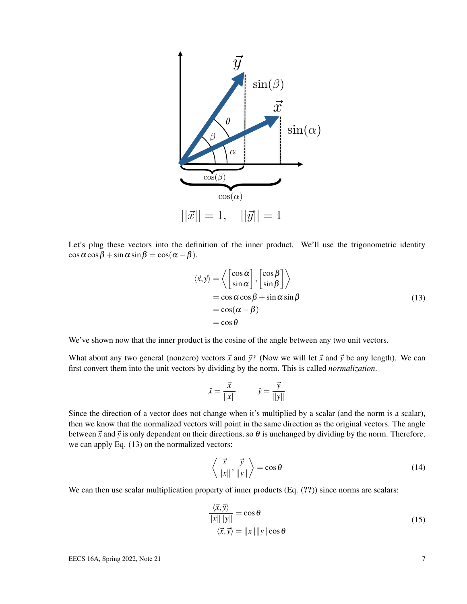

Let's plug these vectors into the definition of the inner product. We'll use the trigonometric identity  $\cos \alpha \cos \beta + \sin \alpha \sin \beta = \cos(\alpha - \beta).$ 

$$
\langle \vec{x}, \vec{y} \rangle = \left\langle \begin{bmatrix} \cos \alpha \\ \sin \alpha \end{bmatrix}, \begin{bmatrix} \cos \beta \\ \sin \beta \end{bmatrix} \right\rangle
$$
  
=  $\cos \alpha \cos \beta + \sin \alpha \sin \beta$   
=  $\cos(\alpha - \beta)$   
=  $\cos \theta$  (13)

We've shown now that the inner product is the cosine of the angle between any two unit vectors.

What about any two general (nonzero) vectors  $\vec{x}$  and  $\vec{y}$ ? (Now we will let  $\vec{x}$  and  $\vec{y}$  be any length). We can first convert them into the unit vectors by dividing by the norm. This is called *normalization*.

$$
\hat{x} = \frac{\vec{x}}{\|x\|} \qquad \hat{y} = \frac{\vec{y}}{\|y\|}
$$

Since the direction of a vector does not change when it's multiplied by a scalar (and the norm is a scalar), then we know that the normalized vectors will point in the same direction as the original vectors. The angle between  $\vec{x}$  and  $\vec{y}$  is only dependent on their directions, so  $\theta$  is unchanged by dividing by the norm. Therefore, we can apply Eq. (13) on the normalized vectors:

$$
\left\langle \frac{\vec{x}}{\|x\|}, \frac{\vec{y}}{\|y\|} \right\rangle = \cos \theta \tag{14}
$$

We can then use scalar multiplication property of inner products (Eq.  $(?)$ ) since norms are scalars:

$$
\frac{\langle \vec{x}, \vec{y} \rangle}{\|x\| \|y\|} = \cos \theta
$$
  

$$
\langle \vec{x}, \vec{y} \rangle = \|x\| \|y\| \cos \theta
$$
 (15)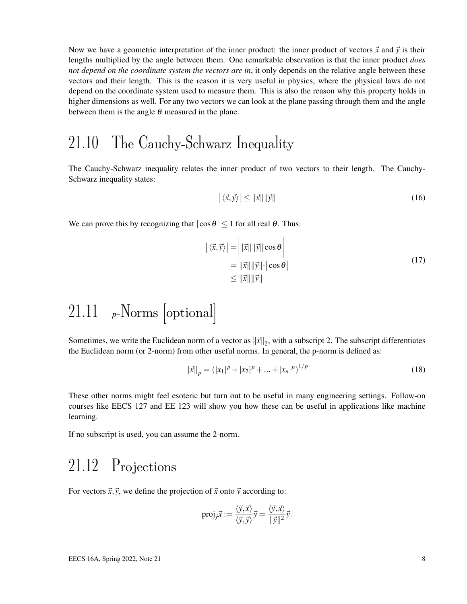Now we have a geometric interpretation of the inner product: the inner product of vectors  $\vec{x}$  and  $\vec{y}$  is their lengths multiplied by the angle between them. One remarkable observation is that the inner product *does not depend on the coordinate system the vectors are in*, it only depends on the relative angle between these vectors and their length. This is the reason it is very useful in physics, where the physical laws do not depend on the coordinate system used to measure them. This is also the reason why this property holds in higher dimensions as well. For any two vectors we can look at the plane passing through them and the angle between them is the angle  $\theta$  measured in the plane.

#### 21.10 The Cauchy-Schwarz Inequality

The Cauchy-Schwarz inequality relates the inner product of two vectors to their length. The Cauchy-Schwarz inequality states:

$$
\left| \langle \vec{x}, \vec{y} \rangle \right| \le \|\vec{x}\| \|\vec{y}\| \tag{16}
$$

We can prove this by recognizing that  $|\cos \theta| \le 1$  for all real  $\theta$ . Thus:

$$
\left| \langle \vec{x}, \vec{y} \rangle \right| = \left| \| \vec{x} \| \| \vec{y} \| \cos \theta \right|
$$
  
=  $||\vec{x}|| ||\vec{y}|| \cdot |\cos \theta|$   
 $\leq ||\vec{x}|| ||\vec{y}||$  (17)

# 21.11 *<sup>p</sup>*-Norms [optional]

Sometimes, we write the Euclidean norm of a vector as  $\|\vec{x}\|_2$ , with a subscript 2. The subscript differentiates the Euclidean norm (or 2-norm) from other useful norms. In general, the p-norm is defined as:

$$
\|\vec{x}\|_p = (|x_1|^p + |x_2|^p + \dots + |x_n|^p)^{1/p}
$$
\n(18)

These other norms might feel esoteric but turn out to be useful in many engineering settings. Follow-on courses like EECS 127 and EE 123 will show you how these can be useful in applications like machine learning.

If no subscript is used, you can assume the 2-norm.

#### 21.12 Projections

For vectors  $\vec{x}, \vec{y}$ , we define the projection of  $\vec{x}$  onto  $\vec{y}$  according to:

proj<sub>$$
\vec{y}
$$</sub> $\vec{x}$ : =  $\frac{\langle \vec{y}, \vec{x} \rangle}{\langle \vec{y}, \vec{y} \rangle} \vec{y} = \frac{\langle \vec{y}, \vec{x} \rangle}{\|\vec{y}\|^2} \vec{y}$ .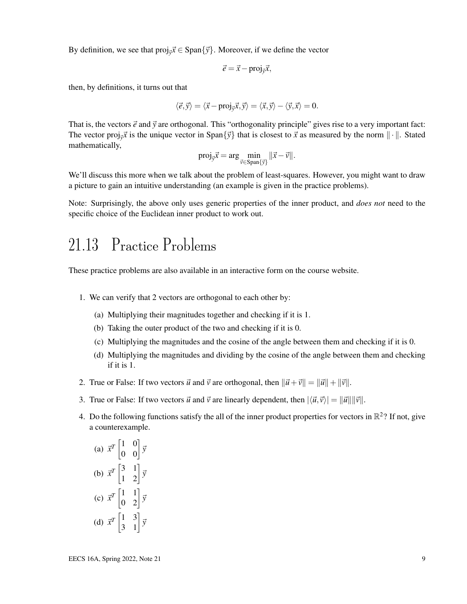By definition, we see that  $proj_{\vec{y}}\vec{x} \in Span\{\vec{y}\}\)$ . Moreover, if we define the vector

$$
\vec{e} = \vec{x} - \text{proj}_{\vec{y}}\vec{x},
$$

then, by definitions, it turns out that

$$
\langle \vec{e}, \vec{y} \rangle = \langle \vec{x} - \text{proj}_{\vec{y}} \vec{x}, \vec{y} \rangle = \langle \vec{x}, \vec{y} \rangle - \langle \vec{y}, \vec{x} \rangle = 0.
$$

That is, the vectors  $\vec{e}$  and  $\vec{v}$  are orthogonal. This "orthogonality principle" gives rise to a very important fact: The vector proj<sub> $\vec{y}$ </sub> *x* is the unique vector in Span $\{\vec{y}\}$  that is closest to  $\vec{x}$  as measured by the norm  $\|\cdot\|$ . Stated mathematically,

$$
\text{proj}_{\vec{y}}\vec{x} = \arg\min_{\vec{v}\in\text{Span}\{\vec{y}\}}||\vec{x} - \vec{v}||.
$$

We'll discuss this more when we talk about the problem of least-squares. However, you might want to draw a picture to gain an intuitive understanding (an example is given in the practice problems).

Note: Surprisingly, the above only uses generic properties of the inner product, and *does not* need to the specific choice of the Euclidean inner product to work out.

#### 21.13 Practice Problems

These practice problems are also available in an interactive form on the course website.

- 1. We can verify that 2 vectors are orthogonal to each other by:
	- (a) Multiplying their magnitudes together and checking if it is 1.
	- (b) Taking the outer product of the two and checking if it is 0.
	- (c) Multiplying the magnitudes and the cosine of the angle between them and checking if it is 0.
	- (d) Multiplying the magnitudes and dividing by the cosine of the angle between them and checking if it is 1.
- 2. True or False: If two vectors  $\vec{u}$  and  $\vec{v}$  are orthogonal, then  $\|\vec{u} + \vec{v}\| = \|\vec{u}\| + \|\vec{v}\|$ .
- 3. True or False: If two vectors  $\vec{u}$  and  $\vec{v}$  are linearly dependent, then  $|\langle \vec{u}, \vec{v} \rangle| = ||\vec{u}|| ||\vec{v}||$ .
- 4. Do the following functions satisfy the all of the inner product properties for vectors in  $\mathbb{R}^2$ ? If not, give a counterexample.

(a) 
$$
\vec{x}^T
$$
  $\begin{bmatrix} 1 & 0 \\ 0 & 0 \end{bmatrix} \vec{y}$   
\n(b)  $\vec{x}^T$   $\begin{bmatrix} 3 & 1 \\ 1 & 2 \end{bmatrix} \vec{y}$   
\n(c)  $\vec{x}^T$   $\begin{bmatrix} 1 & 1 \\ 0 & 2 \end{bmatrix} \vec{y}$   
\n(d)  $\vec{x}^T$   $\begin{bmatrix} 1 & 3 \\ 3 & 1 \end{bmatrix} \vec{y}$